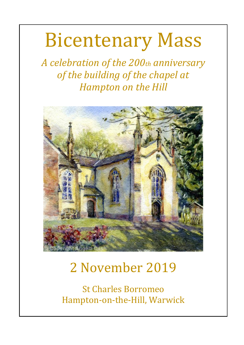# Bicentenary Mass

*A celebration of the 200th anniversary of the building of the chapel at Hampton on the Hill*



# 2 November 2019

St Charles Borromeo Hampton-on-the-Hill, Warwick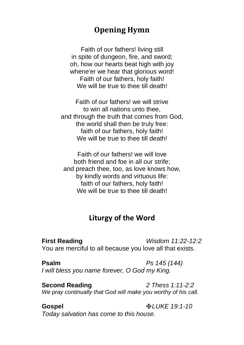# **Opening Hymn**

Faith of our fathers! living still in spite of dungeon, fire, and sword; oh, how our hearts beat high with joy whene'er we hear that glorious word! Faith of our fathers, holy faith! We will be true to thee till death!

Faith of our fathers! we will strive to win all nations unto thee, and through the truth that comes from God, the world shall then be truly free: faith of our fathers, holy faith! We will be true to thee till death!

Faith of our fathers! we will love both friend and foe in all our strife; and preach thee, too, as love knows how, by kindly words and virtuous life: faith of our fathers, holy faith! We will be true to thee till death!

#### **Liturgy of the Word**

**First Reading** *Wisdom 11:22-12:2* You are merciful to all because you love all that exists.

**Psalm** *Ps 145 (144) I will bless you name forever, O God my King.*

**Second Reading** *2 Thess 1:11-2:2 We pray continually that God will make you worthy of his call.*

**Gospel** ✠*LUKE 19:1-10 Today salvation has come to this house.*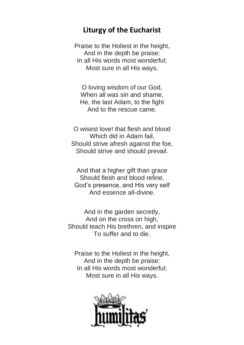#### **Liturgy of the Eucharist**

Praise to the Holiest in the height, And in the depth be praise: In all His words most wonderful; Most sure in all His ways.

O loving wisdom of our God, When all was sin and shame. He, the last Adam, to the fight And to the rescue came.

O wisest love! that flesh and blood Which did in Adam fail, Should strive afresh against the foe, Should strive and should prevail.

And that a higher gift than grace Should flesh and blood refine, God's presence, and His very self And essence all-divine.

And in the garden secretly, And on the cross on high, Should teach His brethren, and inspire To suffer and to die.

Praise to the Holiest in the height, And in the depth be praise: In all His words most wonderful; Most sure in all His ways.

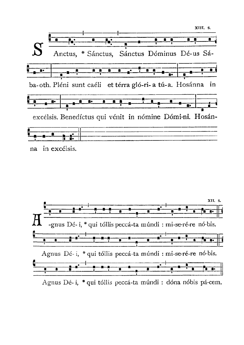



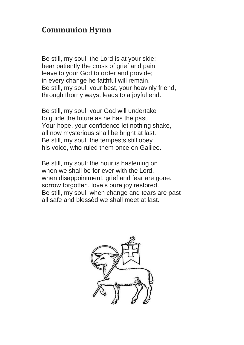### **Communion Hymn**

Be still, my soul: the Lord is at your side; bear patiently the cross of grief and pain; leave to your God to order and provide; in every change he faithful will remain. Be still, my soul: your best, your heav'nly friend, through thorny ways, leads to a joyful end.

Be still, my soul: your God will undertake to guide the future as he has the past. Your hope, your confidence let nothing shake, all now mysterious shall be bright at last. Be still, my soul: the tempests still obey his voice, who ruled them once on Galilee.

Be still, my soul: the hour is hastening on when we shall be for ever with the Lord, when disappointment, grief and fear are gone, sorrow forgotten, love's pure joy restored. Be still, my soul: when change and tears are past all safe and blessèd we shall meet at last.

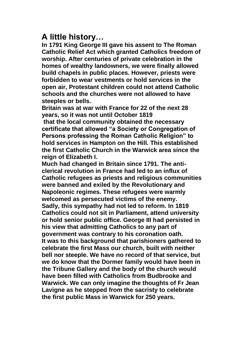# **A little history…**

**In 1791 King George III gave his assent to The Roman Catholic Relief Act which granted Catholics freedom of worship. After centuries of private celebration in the homes of wealthy landowners, we were finally allowed build chapels in public places. However, priests were forbidden to wear vestments or hold services in the open air, Protestant children could not attend Catholic schools and the churches were not allowed to have steeples or bells.**

**Britain was at war with France for 22 of the next 28 years, so it was not until October 1819**

**that the local community obtained the necessary certificate that allowed "a Society or Congregation of Persons professing the Roman Catholic Religion" to hold services in Hampton on the Hill. This established the first Catholic Church in the Warwick area since the reign of Elizabeth I.**

**Much had changed in Britain since 1791. The anticlerical revolution in France had led to an influx of Catholic refugees as priests and religious communities were banned and exiled by the Revolutionary and Napoleonic regimes. These refugees were warmly welcomed as persecuted victims of the enemy. Sadly, this sympathy had not led to reform. In 1819 Catholics could not sit in Parliament, attend university or hold senior public office. George III had persisted in his view that admitting Catholics to any part of government was contrary to his coronation oath. It was to this background that parishioners gathered to celebrate the first Mass our church, built with neither bell nor steeple. We have no record of that service, but we do know that the Dormer family would have been in the Tribune Gallery and the body of the church would have been filled with Catholics from Budbrooke and Warwick. We can only imagine the thoughts of Fr Jean Lavigne as he stepped from the sacristy to celebrate the first public Mass in Warwick for 250 years.**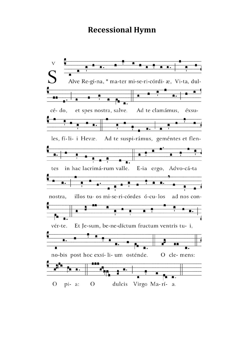#### **Recessional Hymn**